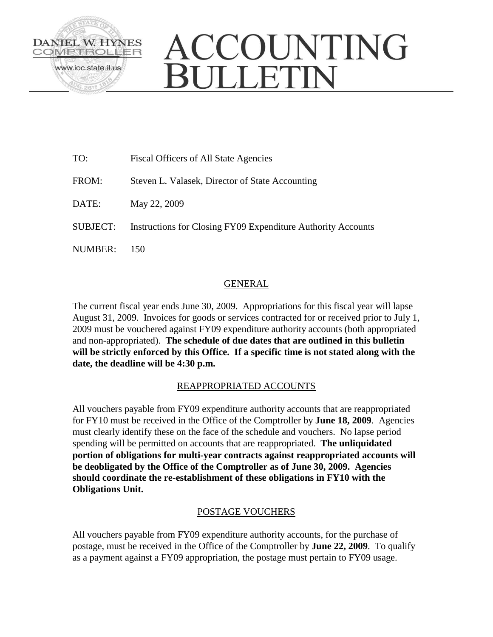

# ACCOUNTING **JULLETIN**

| TO:      | <b>Fiscal Officers of All State Agencies</b>                 |
|----------|--------------------------------------------------------------|
| FROM:    | Steven L. Valasek, Director of State Accounting              |
| DATE:    | May 22, 2009                                                 |
| SUBJECT: | Instructions for Closing FY09 Expenditure Authority Accounts |
| NUMBER:  | 150                                                          |

# GENERAL

The current fiscal year ends June 30, 2009. Appropriations for this fiscal year will lapse August 31, 2009. Invoices for goods or services contracted for or received prior to July 1, 2009 must be vouchered against FY09 expenditure authority accounts (both appropriated and non-appropriated). **The schedule of due dates that are outlined in this bulletin will be strictly enforced by this Office. If a specific time is not stated along with the date, the deadline will be 4:30 p.m.**

# REAPPROPRIATED ACCOUNTS

All vouchers payable from FY09 expenditure authority accounts that are reappropriated for FY10 must be received in the Office of the Comptroller by **June 18, 2009**. Agencies must clearly identify these on the face of the schedule and vouchers. No lapse period spending will be permitted on accounts that are reappropriated. **The unliquidated portion of obligations for multi-year contracts against reappropriated accounts will be deobligated by the Office of the Comptroller as of June 30, 2009. Agencies should coordinate the re-establishment of these obligations in FY10 with the Obligations Unit.** 

# POSTAGE VOUCHERS

All vouchers payable from FY09 expenditure authority accounts, for the purchase of postage, must be received in the Office of the Comptroller by **June 22, 2009**. To qualify as a payment against a FY09 appropriation, the postage must pertain to FY09 usage.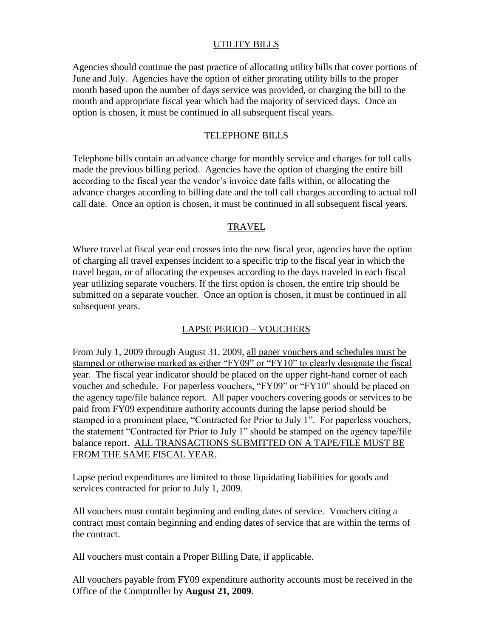#### UTILITY BILLS

Agencies should continue the past practice of allocating utility bills that cover portions of June and July. Agencies have the option of either prorating utility bills to the proper month based upon the number of days service was provided, or charging the bill to the month and appropriate fiscal year which had the majority of serviced days. Once an option is chosen, it must be continued in all subsequent fiscal years.

#### TELEPHONE BILLS

Telephone bills contain an advance charge for monthly service and charges for toll calls made the previous billing period. Agencies have the option of charging the entire bill according to the fiscal year the vendor's invoice date falls within, or allocating the advance charges according to billing date and the toll call charges according to actual toll call date. Once an option is chosen, it must be continued in all subsequent fiscal years.

#### TRAVEL

Where travel at fiscal year end crosses into the new fiscal year, agencies have the option of charging all travel expenses incident to a specific trip to the fiscal year in which the travel began, or of allocating the expenses according to the days traveled in each fiscal year utilizing separate vouchers. If the first option is chosen, the entire trip should be submitted on a separate voucher. Once an option is chosen, it must be continued in all subsequent years.

## LAPSE PERIOD – VOUCHERS

From July 1, 2009 through August 31, 2009, all paper vouchers and schedules must be stamped or otherwise marked as either "FY09" or "FY10" to clearly designate the fiscal year. The fiscal year indicator should be placed on the upper right-hand corner of each voucher and schedule. For paperless vouchers, "FY09" or "FY10" should be placed on the agency tape/file balance report. All paper vouchers covering goods or services to be paid from FY09 expenditure authority accounts during the lapse period should be stamped in a prominent place, "Contracted for Prior to July 1". For paperless vouchers, the statement "Contracted for Prior to July 1" should be stamped on the agency tape/file balance report. ALL TRANSACTIONS SUBMITTED ON A TAPE/FILE MUST BE FROM THE SAME FISCAL YEAR.

Lapse period expenditures are limited to those liquidating liabilities for goods and services contracted for prior to July 1, 2009.

All vouchers must contain beginning and ending dates of service. Vouchers citing a contract must contain beginning and ending dates of service that are within the terms of the contract.

All vouchers must contain a Proper Billing Date, if applicable.

All vouchers payable from FY09 expenditure authority accounts must be received in the Office of the Comptroller by **August 21, 2009**.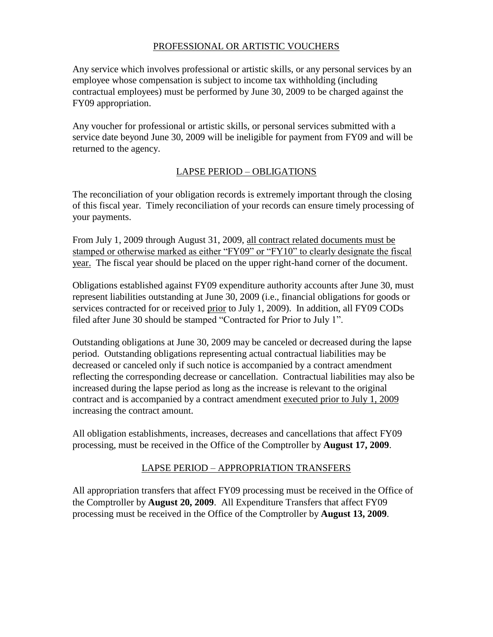# PROFESSIONAL OR ARTISTIC VOUCHERS

Any service which involves professional or artistic skills, or any personal services by an employee whose compensation is subject to income tax withholding (including contractual employees) must be performed by June 30, 2009 to be charged against the FY09 appropriation.

Any voucher for professional or artistic skills, or personal services submitted with a service date beyond June 30, 2009 will be ineligible for payment from FY09 and will be returned to the agency.

#### LAPSE PERIOD – OBLIGATIONS

The reconciliation of your obligation records is extremely important through the closing of this fiscal year. Timely reconciliation of your records can ensure timely processing of your payments.

From July 1, 2009 through August 31, 2009, all contract related documents must be stamped or otherwise marked as either "FY09" or "FY10" to clearly designate the fiscal year. The fiscal year should be placed on the upper right-hand corner of the document.

Obligations established against FY09 expenditure authority accounts after June 30, must represent liabilities outstanding at June 30, 2009 (i.e., financial obligations for goods or services contracted for or received prior to July 1, 2009). In addition, all FY09 CODs filed after June 30 should be stamped "Contracted for Prior to July 1".

Outstanding obligations at June 30, 2009 may be canceled or decreased during the lapse period. Outstanding obligations representing actual contractual liabilities may be decreased or canceled only if such notice is accompanied by a contract amendment reflecting the corresponding decrease or cancellation. Contractual liabilities may also be increased during the lapse period as long as the increase is relevant to the original contract and is accompanied by a contract amendment executed prior to July 1, 2009 increasing the contract amount.

All obligation establishments, increases, decreases and cancellations that affect FY09 processing, must be received in the Office of the Comptroller by **August 17, 2009**.

## LAPSE PERIOD – APPROPRIATION TRANSFERS

All appropriation transfers that affect FY09 processing must be received in the Office of the Comptroller by **August 20, 2009**. All Expenditure Transfers that affect FY09 processing must be received in the Office of the Comptroller by **August 13, 2009**.